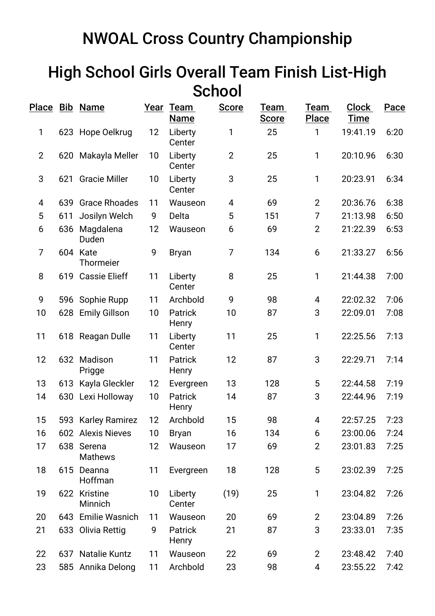## NWOAL Cross Country Championship

## High School Girls Overall Team Finish List-High **School**

|                |     | Place Bib Name               |    | Year Team<br><b>Name</b> | <b>Score</b>   | Team<br><b>Score</b> | Team<br><b>Place</b> | <b>Clock</b><br><b>Time</b> | Pace |
|----------------|-----|------------------------------|----|--------------------------|----------------|----------------------|----------------------|-----------------------------|------|
| 1              |     | 623 Hope Oelkrug             | 12 | Liberty<br>Center        | 1              | 25                   | 1                    | 19:41.19                    | 6:20 |
| $\overline{2}$ |     | 620 Makayla Meller           | 10 | Liberty<br>Center        | $\overline{2}$ | 25                   | 1                    | 20:10.96                    | 6:30 |
| 3              | 621 | <b>Gracie Miller</b>         | 10 | Liberty<br>Center        | 3              | 25                   | 1                    | 20:23.91                    | 6:34 |
| 4              |     | 639 Grace Rhoades            | 11 | Wauseon                  | 4              | 69                   | $\overline{2}$       | 20:36.76                    | 6:38 |
| 5              | 611 | Josilyn Welch                | 9  | Delta                    | 5              | 151                  | 7                    | 21:13.98                    | 6:50 |
| 6              | 636 | Magdalena<br>Duden           | 12 | Wauseon                  | 6              | 69                   | $\overline{2}$       | 21:22.39                    | 6:53 |
| $\overline{7}$ |     | 604 Kate<br>Thormeier        | 9  | <b>Bryan</b>             | 7              | 134                  | 6                    | 21:33.27                    | 6:56 |
| 8              | 619 | <b>Cassie Elieff</b>         | 11 | Liberty<br>Center        | 8              | 25                   | 1                    | 21:44.38                    | 7:00 |
| 9              |     | 596 Sophie Rupp              | 11 | Archbold                 | 9              | 98                   | 4                    | 22:02.32                    | 7:06 |
| 10             | 628 | <b>Emily Gillson</b>         | 10 | <b>Patrick</b><br>Henry  | 10             | 87                   | 3                    | 22:09.01                    | 7:08 |
| 11             |     | 618 Reagan Dulle             | 11 | Liberty<br>Center        | 11             | 25                   | 1                    | 22:25.56                    | 7:13 |
| 12             |     | 632 Madison<br>Prigge        | 11 | Patrick<br>Henry         | 12             | 87                   | 3                    | 22:29.71                    | 7:14 |
| 13             | 613 | Kayla Gleckler               | 12 | Evergreen                | 13             | 128                  | 5                    | 22:44.58                    | 7:19 |
| 14             |     | 630 Lexi Holloway            | 10 | <b>Patrick</b><br>Henry  | 14             | 87                   | 3                    | 22:44.96                    | 7:19 |
| 15             |     | 593 Karley Ramirez           | 12 | Archbold                 | 15             | 98                   | 4                    | 22:57.25                    | 7:23 |
| 16             |     | 602 Alexis Nieves            | 10 | <b>Bryan</b>             | 16             | 134                  | 6                    | 23:00.06                    | 7:24 |
| 17             |     | 638 Serena<br><b>Mathews</b> | 12 | Wauseon                  | 17             | 69                   | $\overline{2}$       | 23:01.83                    | 7:25 |
| 18             | 615 | Deanna<br>Hoffman            | 11 | Evergreen                | 18             | 128                  | 5                    | 23:02.39                    | 7:25 |
| 19             |     | 622 Kristine<br>Minnich      | 10 | Liberty<br>Center        | (19)           | 25                   | 1                    | 23:04.82                    | 7:26 |
| 20             | 643 | <b>Emilie Wasnich</b>        | 11 | Wauseon                  | 20             | 69                   | $\overline{2}$       | 23:04.89                    | 7:26 |
| 21             |     | 633 Olivia Rettig            | 9  | Patrick<br>Henry         | 21             | 87                   | 3                    | 23:33.01                    | 7:35 |
| 22             |     | 637 Natalie Kuntz            | 11 | Wauseon                  | 22             | 69                   | $\overline{2}$       | 23:48.42                    | 7:40 |
| 23             |     | 585 Annika Delong            | 11 | Archbold                 | 23             | 98                   | 4                    | 23:55.22                    | 7:42 |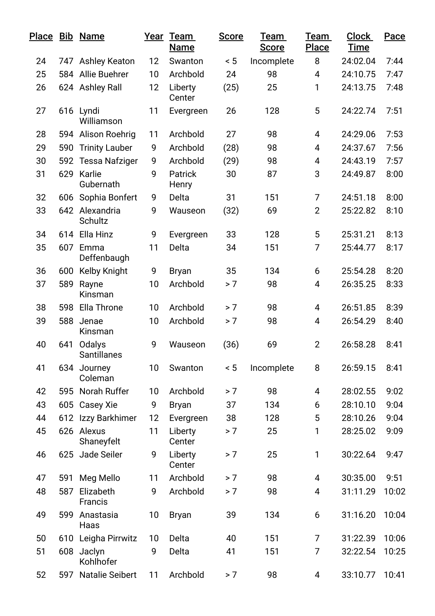|    |     | Place Bib Name               |    | Year Team<br>Name | <b>Score</b> | Team<br><b>Score</b> | Team<br>Place  | <b>Clock</b><br><b>Time</b> | Pace  |
|----|-----|------------------------------|----|-------------------|--------------|----------------------|----------------|-----------------------------|-------|
| 24 |     | 747 Ashley Keaton            | 12 | Swanton           | < 5          | Incomplete           | 8              | 24:02.04                    | 7:44  |
| 25 |     | 584 Allie Buehrer            | 10 | Archbold          | 24           | 98                   | $\overline{4}$ | 24:10.75                    | 7:47  |
| 26 |     | 624 Ashley Rall              | 12 | Liberty<br>Center | (25)         | 25                   | 1              | 24:13.75                    | 7:48  |
| 27 |     | 616 Lyndi<br>Williamson      | 11 | Evergreen         | 26           | 128                  | 5              | 24:22.74                    | 7:51  |
| 28 |     | 594 Alison Roehrig           | 11 | Archbold          | 27           | 98                   | 4              | 24:29.06                    | 7:53  |
| 29 |     | 590 Trinity Lauber           | 9  | Archbold          | (28)         | 98                   | 4              | 24:37.67                    | 7:56  |
| 30 |     | 592 Tessa Nafziger           | 9  | Archbold          | (29)         | 98                   | 4              | 24:43.19                    | 7:57  |
| 31 |     | 629 Karlie<br>Gubernath      | 9  | Patrick<br>Henry  | 30           | 87                   | 3              | 24:49.87                    | 8:00  |
| 32 | 606 | Sophia Bonfert               | 9  | Delta             | 31           | 151                  | 7              | 24:51.18                    | 8:00  |
| 33 |     | 642 Alexandria<br>Schultz    | 9  | Wauseon           | (32)         | 69                   | $\overline{2}$ | 25:22.82                    | 8:10  |
| 34 | 614 | Ella Hinz                    | 9  | Evergreen         | 33           | 128                  | 5              | 25:31.21                    | 8:13  |
| 35 | 607 | Emma<br>Deffenbaugh          | 11 | Delta             | 34           | 151                  | 7              | 25:44.77                    | 8:17  |
| 36 | 600 | Kelby Knight                 | 9  | <b>Bryan</b>      | 35           | 134                  | 6              | 25:54.28                    | 8:20  |
| 37 | 589 | Rayne<br>Kinsman             | 10 | Archbold          | > 7          | 98                   | 4              | 26:35.25                    | 8:33  |
| 38 | 598 | Ella Throne                  | 10 | Archbold          | > 7          | 98                   | 4              | 26:51.85                    | 8:39  |
| 39 | 588 | Jenae<br>Kinsman             | 10 | Archbold          | > 7          | 98                   | 4              | 26:54.29                    | 8:40  |
| 40 | 641 | Odalys<br><b>Santillanes</b> | 9  | Wauseon           | (36)         | 69                   | $\overline{2}$ | 26:58.28                    | 8:41  |
| 41 |     | 634 Journey<br>Coleman       | 10 | Swanton           | ~< 5         | Incomplete           | 8              | 26:59.15                    | 8:41  |
| 42 |     | 595 Norah Ruffer             | 10 | Archbold          | > 7          | 98                   | 4              | 28:02.55                    | 9:02  |
| 43 |     | 605 Casey Xie                | 9  | <b>Bryan</b>      | 37           | 134                  | 6              | 28:10.10                    | 9:04  |
| 44 |     | 612 Izzy Barkhimer           | 12 | Evergreen         | 38           | 128                  | 5              | 28:10.26                    | 9:04  |
| 45 |     | 626 Alexus<br>Shaneyfelt     | 11 | Liberty<br>Center | > 7          | 25                   | 1              | 28:25.02                    | 9:09  |
| 46 |     | 625 Jade Seiler              | 9  | Liberty<br>Center | > 7          | 25                   | 1              | 30:22.64                    | 9:47  |
| 47 | 591 | Meg Mello                    | 11 | Archbold          | > 7          | 98                   | 4              | 30:35.00                    | 9:51  |
| 48 | 587 | Elizabeth<br>Francis         | 9  | Archbold          | > 7          | 98                   | 4              | 31:11.29                    | 10:02 |
| 49 |     | 599 Anastasia<br>Haas        | 10 | <b>Bryan</b>      | 39           | 134                  | 6              | 31:16.20                    | 10:04 |
| 50 |     | 610 Leigha Pirrwitz          | 10 | Delta             | 40           | 151                  | 7              | 31:22.39                    | 10:06 |
| 51 | 608 | Jaclyn<br>Kohlhofer          | 9  | Delta             | 41           | 151                  | 7              | 32:22.54                    | 10:25 |
| 52 |     | 597 Natalie Seibert          | 11 | Archbold          | > 7          | 98                   | 4              | 33:10.77                    | 10:41 |